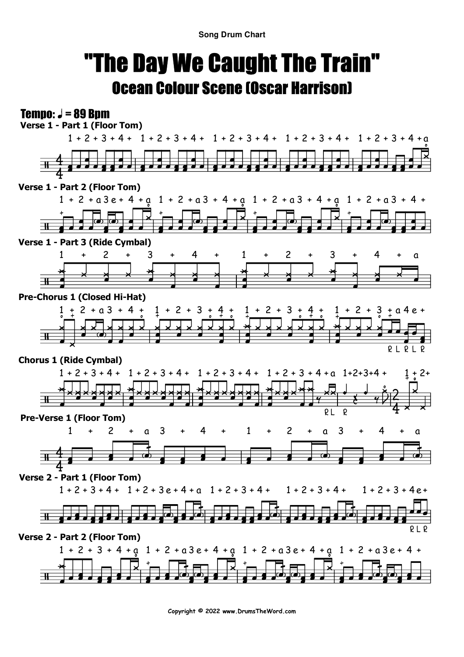**Song Drum Chart**

## "The Day We Caught The Train"Ocean Colour Scene (Oscar Harrison)

## **Tempo:**  $J = 89$  Bpm



**Copyright © 2022 www.DrumsTheWord.com**